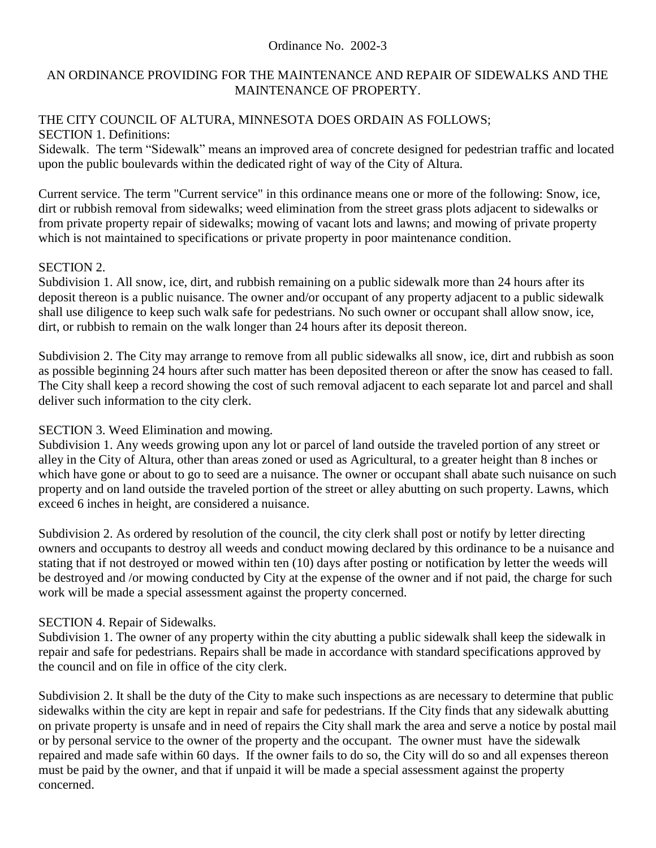#### Ordinance No. 2002-3

## AN ORDINANCE PROVIDING FOR THE MAINTENANCE AND REPAIR OF SIDEWALKS AND THE MAINTENANCE OF PROPERTY.

### THE CITY COUNCIL OF ALTURA, MINNESOTA DOES ORDAIN AS FOLLOWS; SECTION 1. Definitions:

Sidewalk. The term "Sidewalk" means an improved area of concrete designed for pedestrian traffic and located upon the public boulevards within the dedicated right of way of the City of Altura.

Current service. The term "Current service" in this ordinance means one or more of the following: Snow, ice, dirt or rubbish removal from sidewalks; weed elimination from the street grass plots adjacent to sidewalks or from private property repair of sidewalks; mowing of vacant lots and lawns; and mowing of private property which is not maintained to specifications or private property in poor maintenance condition.

#### SECTION 2.

Subdivision 1. All snow, ice, dirt, and rubbish remaining on a public sidewalk more than 24 hours after its deposit thereon is a public nuisance. The owner and/or occupant of any property adjacent to a public sidewalk shall use diligence to keep such walk safe for pedestrians. No such owner or occupant shall allow snow, ice, dirt, or rubbish to remain on the walk longer than 24 hours after its deposit thereon.

Subdivision 2. The City may arrange to remove from all public sidewalks all snow, ice, dirt and rubbish as soon as possible beginning 24 hours after such matter has been deposited thereon or after the snow has ceased to fall. The City shall keep a record showing the cost of such removal adjacent to each separate lot and parcel and shall deliver such information to the city clerk.

# SECTION 3. Weed Elimination and mowing.

Subdivision 1. Any weeds growing upon any lot or parcel of land outside the traveled portion of any street or alley in the City of Altura, other than areas zoned or used as Agricultural, to a greater height than 8 inches or which have gone or about to go to seed are a nuisance. The owner or occupant shall abate such nuisance on such property and on land outside the traveled portion of the street or alley abutting on such property. Lawns, which exceed 6 inches in height, are considered a nuisance.

Subdivision 2. As ordered by resolution of the council, the city clerk shall post or notify by letter directing owners and occupants to destroy all weeds and conduct mowing declared by this ordinance to be a nuisance and stating that if not destroyed or mowed within ten (10) days after posting or notification by letter the weeds will be destroyed and /or mowing conducted by City at the expense of the owner and if not paid, the charge for such work will be made a special assessment against the property concerned.

# SECTION 4. Repair of Sidewalks.

Subdivision 1. The owner of any property within the city abutting a public sidewalk shall keep the sidewalk in repair and safe for pedestrians. Repairs shall be made in accordance with standard specifications approved by the council and on file in office of the city clerk.

Subdivision 2. It shall be the duty of the City to make such inspections as are necessary to determine that public sidewalks within the city are kept in repair and safe for pedestrians. If the City finds that any sidewalk abutting on private property is unsafe and in need of repairs the City shall mark the area and serve a notice by postal mail or by personal service to the owner of the property and the occupant. The owner must have the sidewalk repaired and made safe within 60 days. If the owner fails to do so, the City will do so and all expenses thereon must be paid by the owner, and that if unpaid it will be made a special assessment against the property concerned.